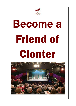

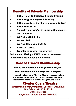## Benefits of Friends Membership

- **FREE Ticket to Exclusive Friends Evening**
- FREE Programme (new initiative)
- FREE backstage tour for two (new initiative)
- FREE Newsletter
- Annual Trip arranged to cities in this country and in Europe
- Waived Booking Fee
- Waived P&P
- Waived Table Booking Fee
- Reserve Tickets
- Transfer to another night/event

And we are offering a FREE ticket to any event, to anyone who introduces a new Friend!

## Cost of Friends Membership

Single Membership is £60 (minimum per year)

**Joint Membership is £90** (minimum per year)

 If you wish to become a Friend of Clonter please complete the form opposite ensuring that you have completed all applicable sections of this form, if eligible, and return to:

## Clonter Opera Theatre

Swettenham Heath, Congleton, Cheshire, CW12 2LR Box Office: 01260 224514 www.clonter.org Registered Charity Number 1083903